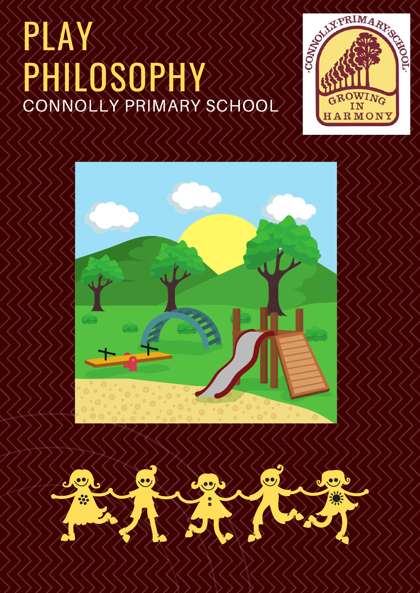# PLAY PHILOSOPHY CONNOLLY PRIMARY SCHOOL



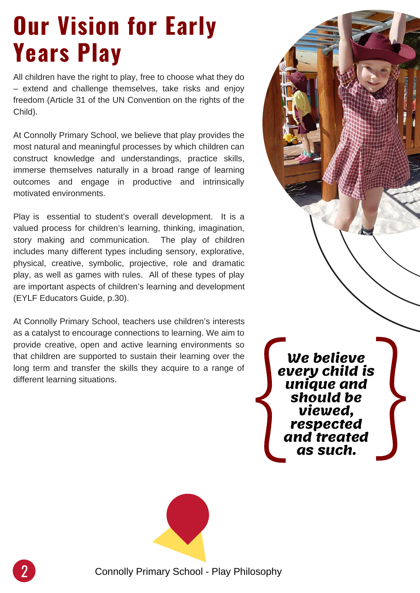### **Our Vision for Early Years Play**

All children have the right to play, free to choose what they do – extend and challenge themselves, take risks and enjoy freedom (Article 31 of the UN Convention on the rights of the Child).

At Connolly Primary School, we believe that play provides the most natural and meaningful processes by which children can construct knowledge and understandings, practice skills, immerse themselves naturally in a broad range of learning outcomes and engage in productive and intrinsically motivated environments.

Play is essential to student's overall development. It is a valued process for children's learning, thinking, imagination, story making and communication. The play of children includes many different types including sensory, explorative, physical, creative, symbolic, projective, role and dramatic play, as well as games with rules. All of these types of play are important aspects of children's learning and development (EYLF Educators Guide, p.30).

At Connolly Primary School, teachers use children's interests as a catalyst to encourage connections to learning. We aim to provide creative, open and active learning environments so that children are supported to sustain their learning over the long term and transfer the skills they acquire to a range of different learning situations.

**We believe every child is unique and should be viewed, respected and treated discript the UP of Strategy Child unique an should be viewed, respected and treated as such.** }<br>}<br>}



2 Connolly Primary School - Play Philosophy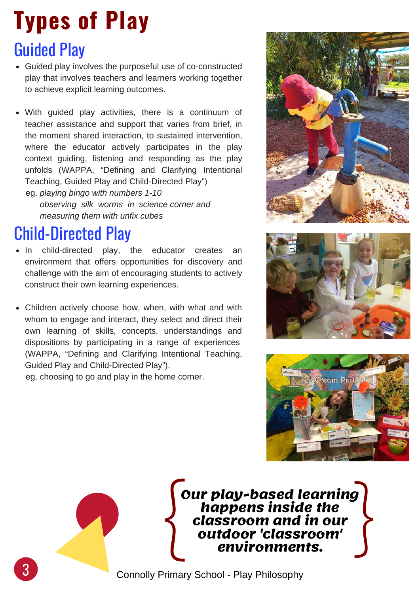# **Types of Play**

#### Guided Play

- Guided play involves the purposeful use of co-constructed play that involves teachers and learners working together to achieve explicit learning outcomes.
- With guided play activities, there is a continuum of teacher assistance and support that varies from brief, in the moment shared interaction, to sustained intervention, where the educator actively participates in the play context guiding, listening and responding as the play unfolds (WAPPA, "Defining and Clarifying Intentional Teaching, Guided Play and Child-Directed Play")

eg. *playing bingo with numbers 1-10 observing silk worms in science corner and measuring them with unfix cubes*

#### Child-Directed Play

- In child-directed play, the educator creates an environment that offers opportunities for discovery and challenge with the aim of encouraging students to actively construct their own learning experiences.
- Children actively choose how, when, with what and with whom to engage and interact, they select and direct their own learning of skills, concepts, understandings and dispositions by participating in a range of experiences (WAPPA, "Defining and Clarifying Intentional Teaching, Guided Play and Child-Directed Play").

eg. choosing to go and play in the home corner.







**Our play-based learning happens inside the classroom and in our outdoor 'classroom' Sur play-based learning<br>
happens inside the<br>
classroom and in our<br>
outdoor 'classroom'<br>
environments.**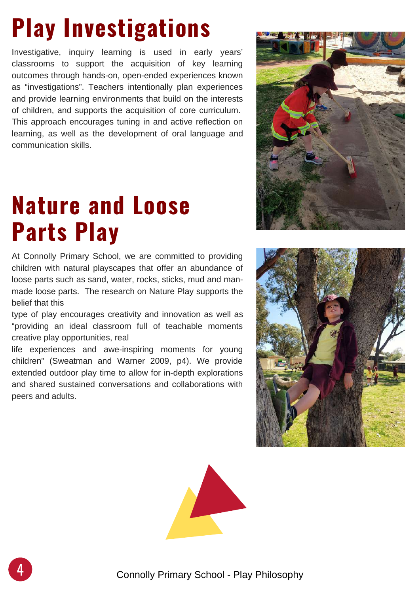# **Play Investigations**

Investigative, inquiry learning is used in early years' classrooms to support the acquisition of key learning outcomes through hands-on, open-ended experiences known as "investigations". Teachers intentionally plan experiences and provide learning environments that build on the interests of children, and supports the acquisition of core curriculum. This approach encourages tuning in and active reflection on learning, as well as the development of oral language and communication skills.

#### **Nature and Loose Parts Play**

At Connolly Primary School, we are committed to providing children with natural playscapes that offer an abundance of loose parts such as sand, water, rocks, sticks, mud and manmade loose parts. The research on Nature Play supports the belief that this

type of play encourages creativity and innovation as well as "providing an ideal classroom full of teachable moments creative play opportunities, real

life experiences and awe-inspiring moments for young children" (Sweatman and Warner 2009, p4). We provide extended outdoor play time to allow for in-depth explorations and shared sustained conversations and collaborations with peers and adults.





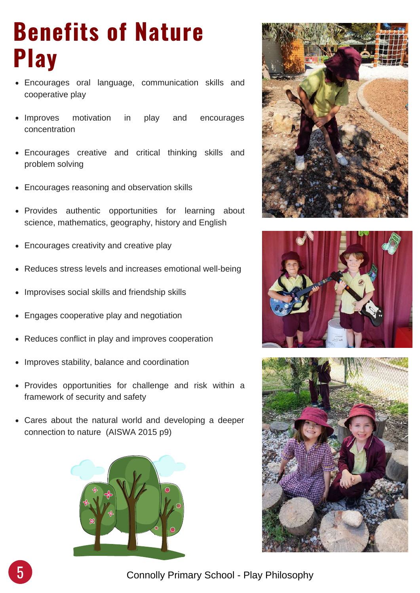### **Benefits of Nature Play**

- Encourages oral language, communication skills and cooperative play
- Improves motivation in play and encourages concentration
- Encourages creative and critical thinking skills and problem solving
- Encourages reasoning and observation skills
- Provides authentic opportunities for learning about science, mathematics, geography, history and English
- Encourages creativity and creative play  $\bullet$
- Reduces stress levels and increases emotional well-being
- Improvises social skills and friendship skills  $\bullet$
- Engages cooperative play and negotiation
- Reduces conflict in play and improves cooperation  $\bullet$
- Improves stability, balance and coordination
- Provides opportunities for challenge and risk within a framework of security and safety
- Cares about the natural world and developing a deeper connection to nature (AISWA 2015 p9)









5 Connolly Primary School - Play Philosophy